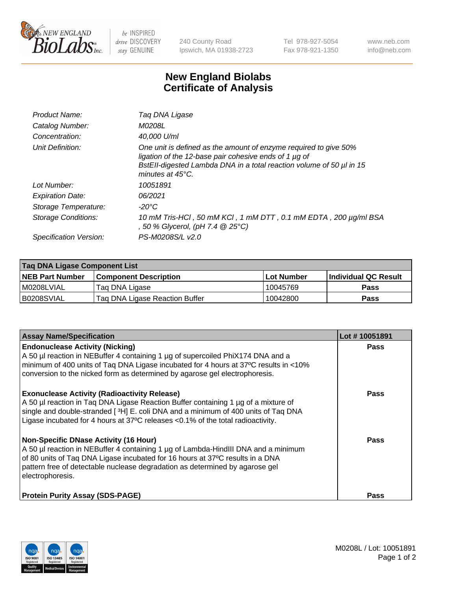

 $be$  INSPIRED drive DISCOVERY stay GENUINE

240 County Road Ipswich, MA 01938-2723 Tel 978-927-5054 Fax 978-921-1350 www.neb.com info@neb.com

## **New England Biolabs Certificate of Analysis**

| Product Name:           | Tag DNA Ligase                                                                                                                                                                                                                  |
|-------------------------|---------------------------------------------------------------------------------------------------------------------------------------------------------------------------------------------------------------------------------|
| Catalog Number:         | M0208L                                                                                                                                                                                                                          |
| Concentration:          | 40,000 U/ml                                                                                                                                                                                                                     |
| Unit Definition:        | One unit is defined as the amount of enzyme required to give 50%<br>ligation of the 12-base pair cohesive ends of 1 µg of<br>BstEll-digested Lambda DNA in a total reaction volume of 50 µl in 15<br>minutes at $45^{\circ}$ C. |
| Lot Number:             | 10051891                                                                                                                                                                                                                        |
| <b>Expiration Date:</b> | 06/2021                                                                                                                                                                                                                         |
| Storage Temperature:    | -20°C                                                                                                                                                                                                                           |
| Storage Conditions:     | 10 mM Tris-HCl, 50 mM KCl, 1 mM DTT, 0.1 mM EDTA, 200 µg/ml BSA<br>, 50 % Glycerol, (pH 7.4 @ 25°C)                                                                                                                             |
| Specification Version:  | PS-M0208S/L v2.0                                                                                                                                                                                                                |

| Taq DNA Ligase Component List |                                |            |                      |  |
|-------------------------------|--------------------------------|------------|----------------------|--|
| <b>NEB Part Number</b>        | <b>Component Description</b>   | Lot Number | Individual QC Result |  |
| I M0208LVIAL                  | Tag DNA Ligase                 | 10045769   | <b>Pass</b>          |  |
| B0208SVIAL                    | Taq DNA Ligase Reaction Buffer | 10042800   | Pass                 |  |

| <b>Assay Name/Specification</b>                                                                                                                                                                                                                                                                                         | Lot #10051891 |
|-------------------------------------------------------------------------------------------------------------------------------------------------------------------------------------------------------------------------------------------------------------------------------------------------------------------------|---------------|
| <b>Endonuclease Activity (Nicking)</b><br>A 50 µl reaction in NEBuffer 4 containing 1 µg of supercoiled PhiX174 DNA and a<br>minimum of 400 units of Taq DNA Ligase incubated for 4 hours at 37°C results in <10%<br>conversion to the nicked form as determined by agarose gel electrophoresis.                        | <b>Pass</b>   |
| <b>Exonuclease Activity (Radioactivity Release)</b><br>A 50 µl reaction in Taq DNA Ligase Reaction Buffer containing 1 µg of a mixture of<br>single and double-stranded [3H] E. coli DNA and a minimum of 400 units of Taq DNA<br>Ligase incubated for 4 hours at 37°C releases <0.1% of the total radioactivity.       | <b>Pass</b>   |
| <b>Non-Specific DNase Activity (16 Hour)</b><br>A 50 µl reaction in NEBuffer 4 containing 1 µg of Lambda-HindIII DNA and a minimum<br>of 80 units of Taq DNA Ligase incubated for 16 hours at 37°C results in a DNA<br>pattern free of detectable nuclease degradation as determined by agarose gel<br>electrophoresis. | <b>Pass</b>   |
| <b>Protein Purity Assay (SDS-PAGE)</b>                                                                                                                                                                                                                                                                                  | <b>Pass</b>   |